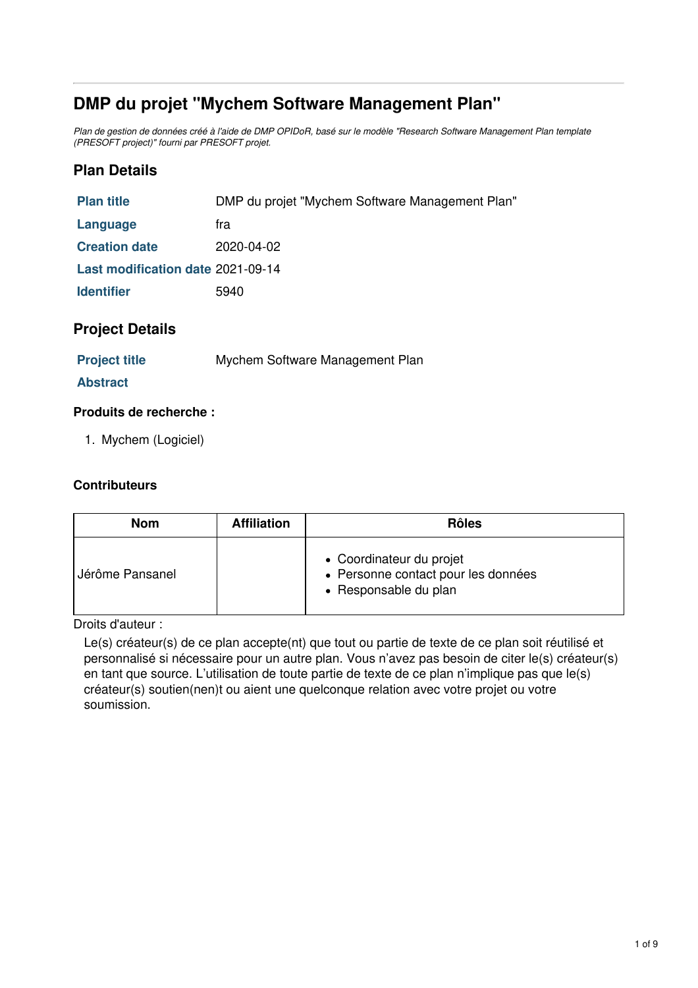# **DMP du projet "Mychem Software Management Plan"**

Plan de gestion de données créé à l'aide de DMP OPIDoR, basé sur le modèle "Research Software Management Plan template *(PRESOFT project)" fourni par PRESOFT projet.*

# **Plan Details**

| <b>Plan title</b>                 | DMP du projet "Mychem Software Management Plan" |
|-----------------------------------|-------------------------------------------------|
| Language                          | fra                                             |
| <b>Creation date</b>              | 2020-04-02                                      |
| Last modification date 2021-09-14 |                                                 |
| <b>Identifier</b>                 | 5940                                            |
|                                   |                                                 |

# **Project Details**

| <b>Project title</b> | Mychem Software Management Plan |
|----------------------|---------------------------------|
|                      |                                 |

### **Abstract**

### **Produits de recherche :**

1. Mychem (Logiciel)

### **Contributeurs**

| <b>Nom</b>      | <b>Affiliation</b> | <b>Rôles</b>                                                                             |
|-----------------|--------------------|------------------------------------------------------------------------------------------|
| Jérôme Pansanel |                    | • Coordinateur du projet<br>• Personne contact pour les données<br>• Responsable du plan |

Droits d'auteur :

Le(s) créateur(s) de ce plan accepte(nt) que tout ou partie de texte de ce plan soit réutilisé et personnalisé si nécessaire pour un autre plan. Vous n'avez pas besoin de citer le(s) créateur(s) en tant que source. L'utilisation de toute partie de texte de ce plan n'implique pas que le(s) créateur(s) soutien(nen)t ou aient une quelconque relation avec votre projet ou votre soumission.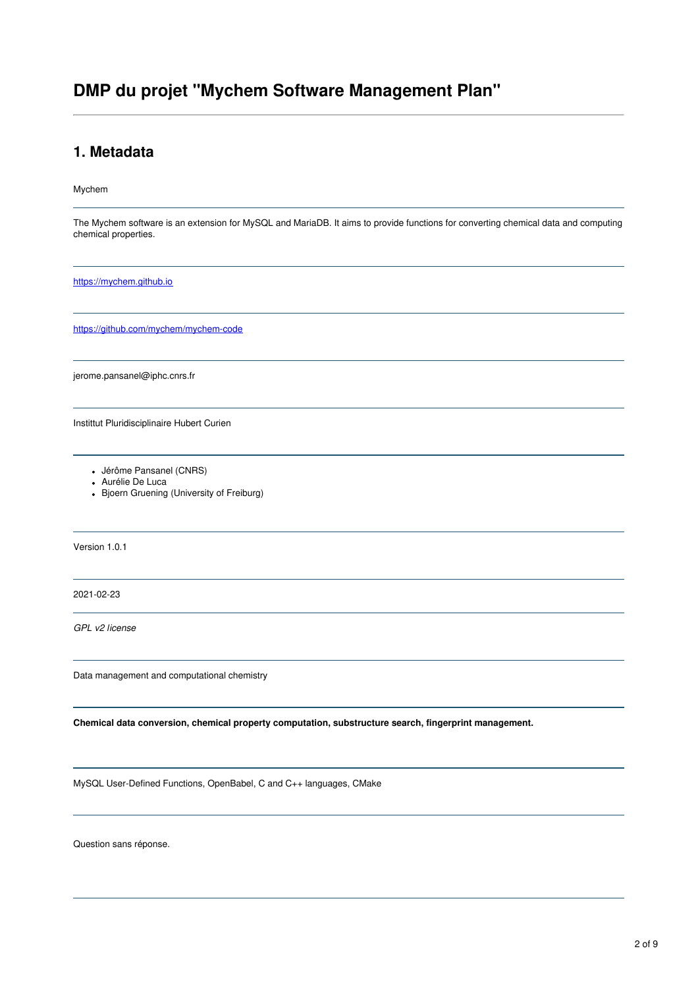# **DMP du projet "Mychem Software Management Plan"**

# **1. Metadata**

Mychem

The Mychem software is an extension for MySQL and MariaDB. It aims to provide functions for converting chemical data and computing chemical properties.

[https://mychem.github.io](https://mychem.github.io/)

<https://github.com/mychem/mychem-code>

jerome.pansanel@iphc.cnrs.fr

Instittut Pluridisciplinaire Hubert Curien

- Jérôme Pansanel (CNRS)
- Aurélie De Luca
- Bjoern Gruening (University of Freiburg)

Version 1.0.1

2021-02-23

*GPL v2 license*

Data management and computational chemistry

**Chemical data conversion, chemical property computation, substructure search, fingerprint management.**

MySQL User-Defined Functions, OpenBabel, C and C++ languages, CMake

Question sans réponse.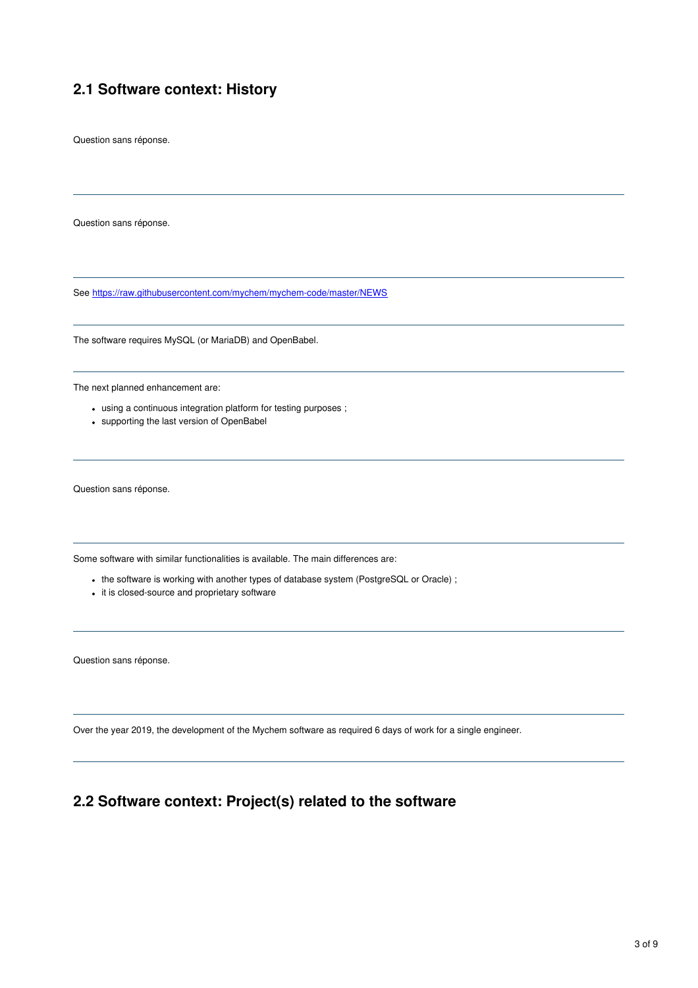# **2.1 Software context: History**

Question sans réponse.

Question sans réponse.

See <https://raw.githubusercontent.com/mychem/mychem-code/master/NEWS>

The software requires MySQL (or MariaDB) and OpenBabel.

The next planned enhancement are:

- using a continuous integration platform for testing purposes ;
- supporting the last version of OpenBabel

Question sans réponse.

Some software with similar functionalities is available. The main differences are:

- the software is working with another types of database system (PostgreSQL or Oracle) ;
- it is closed-source and proprietary software

Question sans réponse.

Over the year 2019, the development of the Mychem software as required 6 days of work for a single engineer.

### **2.2 Software context: Project(s) related to the software**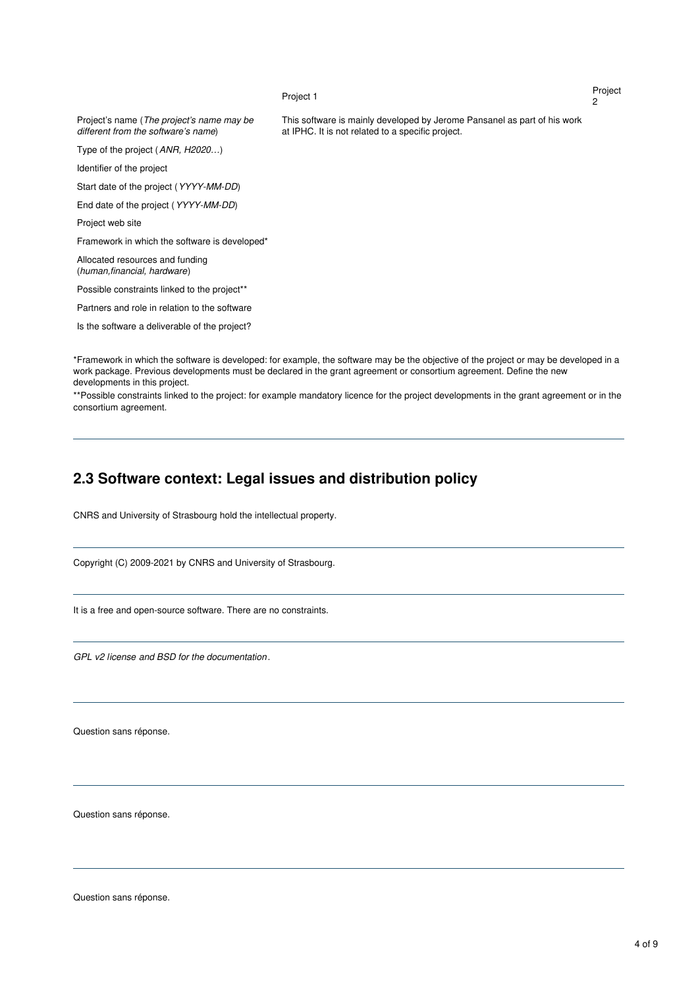#### Project 1

Project  $\overline{2}$ 

Project's name (*The project's name may be different from the software's name*) This software is mainly developed by Jerome Pansanel as part of his work at IPHC. It is not related to a specific project. Type of the project (*ANR, H2020…*) Identifier of the project Start date of the project (*YYYY-MM-DD*) End date of the project (*YYYY-MM-DD*) Project web site Framework in which the software is developed\* Allocated resources and funding (*human,financial, hardware*) Possible constraints linked to the project\*\* Partners and role in relation to the software Is the software a deliverable of the project?

\*Framework in which the software is developed: for example, the software may be the objective of the project or may be developed in a work package. Previous developments must be declared in the grant agreement or consortium agreement. Define the new developments in this project.

\*\*Possible constraints linked to the project: for example mandatory licence for the project developments in the grant agreement or in the consortium agreement.

### **2.3 Software context: Legal issues and distribution policy**

CNRS and University of Strasbourg hold the intellectual property.

Copyright (C) 2009-2021 by CNRS and University of Strasbourg.

It is a free and open-source software. There are no constraints.

*GPL v2 license and BSD for the documentation* .

Question sans réponse.

Question sans réponse.

Question sans réponse.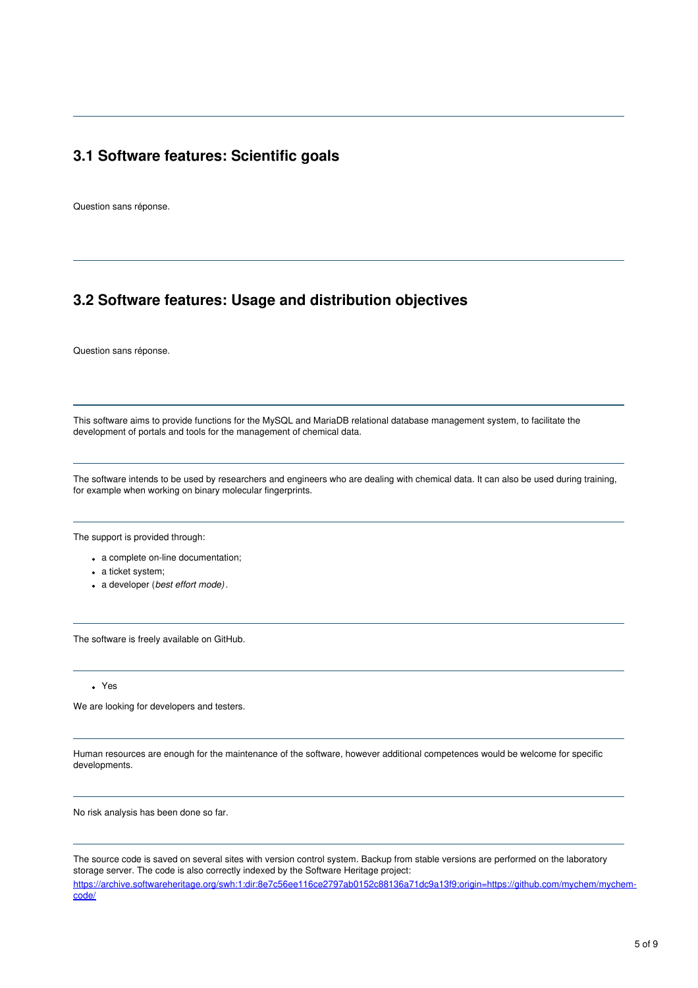### **3.1 Software features: Scientific goals**

Question sans réponse.

# **3.2 Software features: Usage and distribution objectives**

Question sans réponse.

This software aims to provide functions for the MySQL and MariaDB relational database management system, to facilitate the development of portals and tools for the management of chemical data.

The software intends to be used by researchers and engineers who are dealing with chemical data. It can also be used during training, for example when working on binary molecular fingerprints.

The support is provided through:

- a complete on-line documentation;
- a ticket system;
- a developer (*best effort mode)*.

The software is freely available on GitHub.

#### Yes

We are looking for developers and testers.

Human resources are enough for the maintenance of the software, however additional competences would be welcome for specific developments.

No risk analysis has been done so far.

The source code is saved on several sites with version control system. Backup from stable versions are performed on the laboratory storage server. The code is also correctly indexed by the Software Heritage project:

[https://archive.softwareheritage.org/swh:1:dir:8e7c56ee116ce2797ab0152c88136a71dc9a13f9;origin=https://github.com/mychem/mychem](https://archive.softwareheritage.org/swh:1:dir:8e7c56ee116ce2797ab0152c88136a71dc9a13f9;origin=https://github.com/mychem/mychem-code/)code/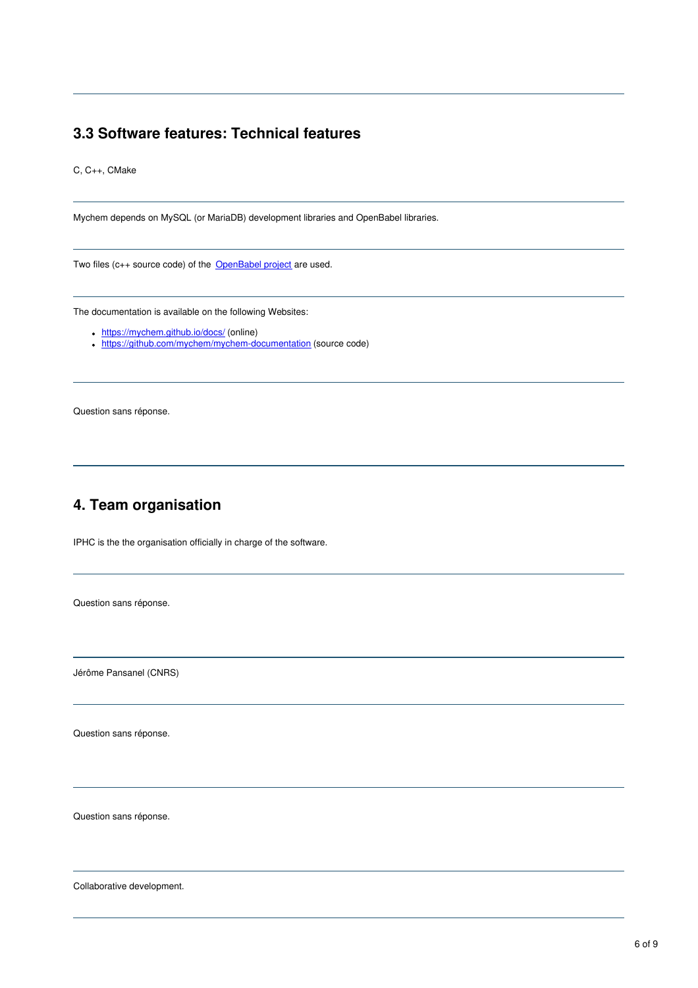### **3.3 Software features: Technical features**

C, C++, CMake

Mychem depends on MySQL (or MariaDB) development libraries and OpenBabel libraries.

Two files (c++ source code) of the [OpenBabel](http://openbabel.org/wiki/Main_Page) project are used.

The documentation is available on the following Websites:

- <https://mychem.github.io/docs/> (online)
- <https://github.com/mychem/mychem-documentation> (source code)

Question sans réponse.

# **4. Team organisation**

IPHC is the the organisation officially in charge of the software.

Question sans réponse.

Jérôme Pansanel (CNRS)

Question sans réponse.

Question sans réponse.

Collaborative development.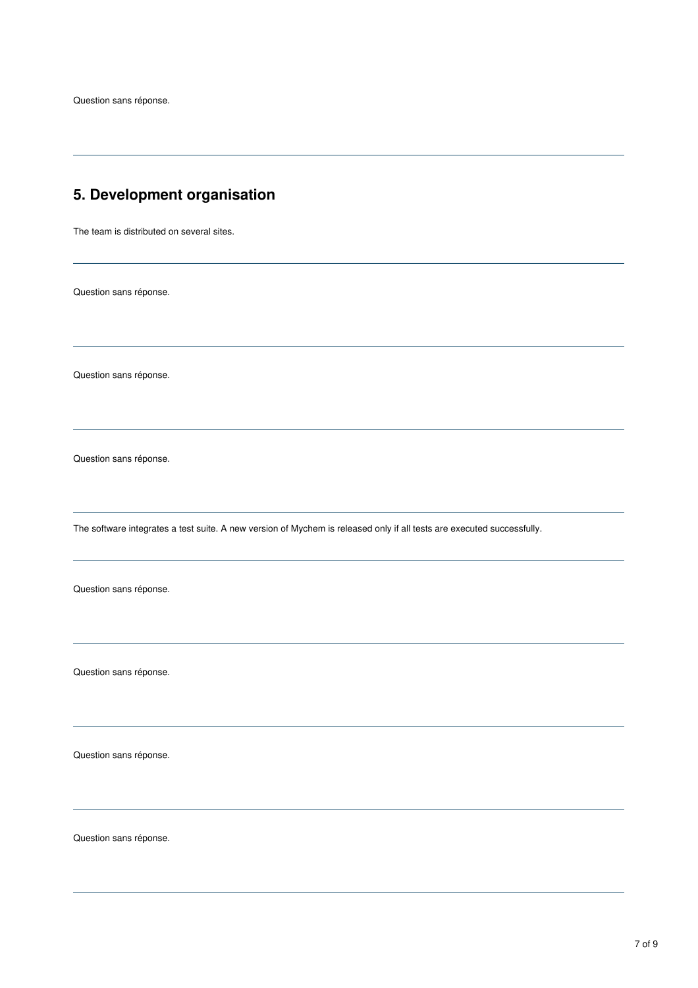Question sans réponse.

# **5. Development organisation**

The team is distributed on several sites.

Question sans réponse.

Question sans réponse.

Question sans réponse.

The software integrates a test suite. A new version of Mychem is released only if all tests are executed successfully.

Question sans réponse.

Question sans réponse.

Question sans réponse.

Question sans réponse.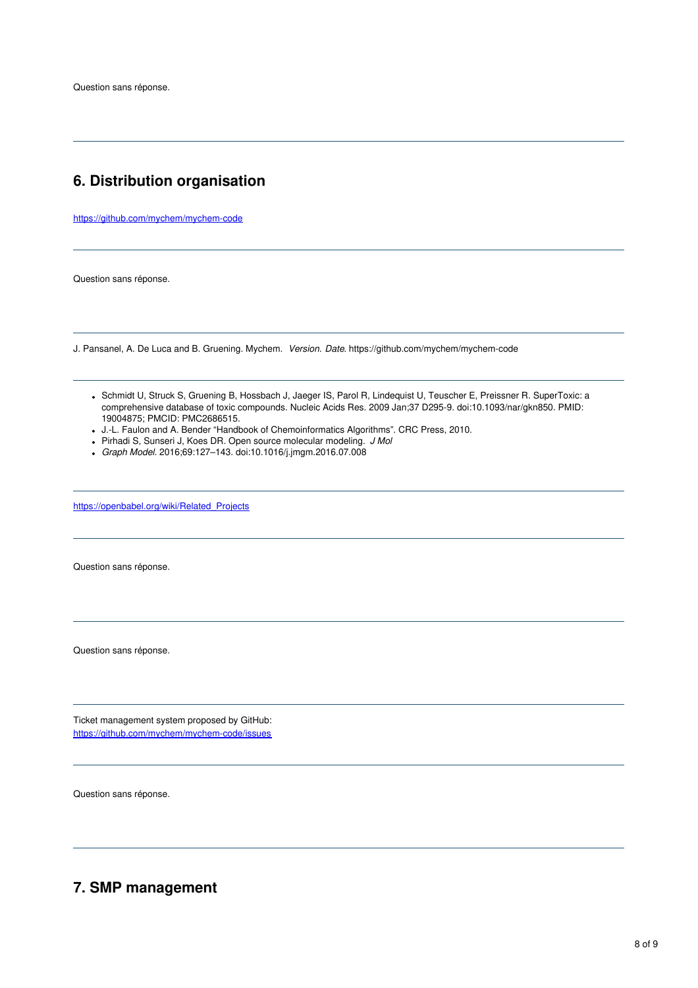### **6. Distribution organisation**

<https://github.com/mychem/mychem-code>

Question sans réponse.

J. Pansanel, A. De Luca and B. Gruening. Mychem. *Version*. *Date*. https://github.com/mychem/mychem-code

- Schmidt U, Struck S, Gruening B, Hossbach J, Jaeger IS, Parol R, Lindequist U, Teuscher E, Preissner R. SuperToxic: a comprehensive database of toxic compounds. Nucleic Acids Res. 2009 Jan;37 D295-9. doi:10.1093/nar/gkn850. PMID: 19004875; PMCID: PMC2686515.
- J.-L. Faulon and A. Bender "Handbook of Chemoinformatics Algorithms". CRC Press, 2010.
- Pirhadi S, Sunseri J, Koes DR. Open source molecular modeling. *J Mol*
- *Graph Model*. 2016;69:127–143. doi:10.1016/j.jmgm.2016.07.008

[https://openbabel.org/wiki/Related\\_Projects](https://openbabel.org/wiki/Related_Projects)

Question sans réponse.

Question sans réponse.

Ticket management system proposed by GitHub: <https://github.com/mychem/mychem-code/issues>

Question sans réponse.

# **7. SMP management**